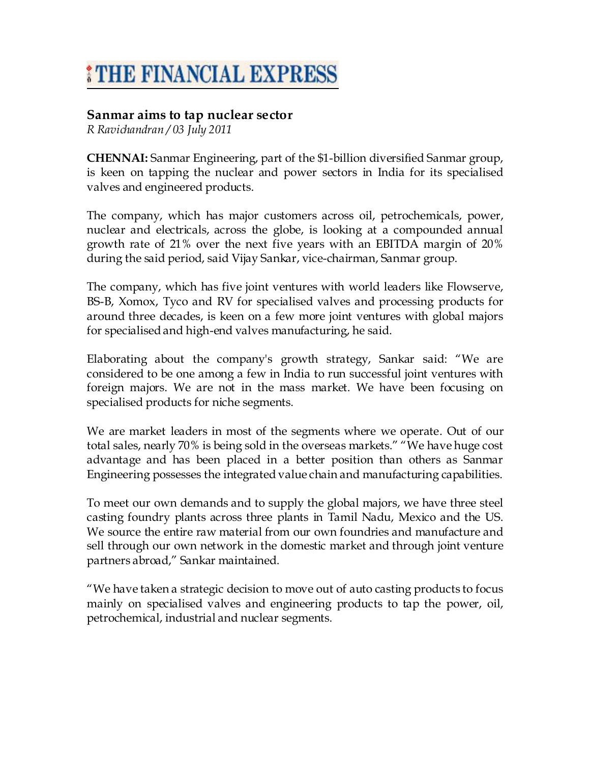## *\*THE FINANCIAL EXPRESS*

## **Sanmar aims to tap nuclear sector**

*R Ravichandran / 03 July 2011* 

**CHENNAI:** Sanmar Engineering, part of the \$1-billion diversified Sanmar group, is keen on tapping the nuclear and power sectors in India for its specialised valves and engineered products.

The company, which has major customers across oil, petrochemicals, power, nuclear and electricals, across the globe, is looking at a compounded annual growth rate of 21% over the next five years with an EBITDA margin of 20% during the said period, said Vijay Sankar, vice-chairman, Sanmar group.

The company, which has five joint ventures with world leaders like Flowserve, BS-B, Xomox, Tyco and RV for specialised valves and processing products for around three decades, is keen on a few more joint ventures with global majors for specialised and high-end valves manufacturing, he said.

Elaborating about the company's growth strategy, Sankar said: "We are considered to be one among a few in India to run successful joint ventures with foreign majors. We are not in the mass market. We have been focusing on specialised products for niche segments.

We are market leaders in most of the segments where we operate. Out of our total sales, nearly 70% is being sold in the overseas markets." "We have huge cost advantage and has been placed in a better position than others as Sanmar Engineering possesses the integrated value chain and manufacturing capabilities.

To meet our own demands and to supply the global majors, we have three steel casting foundry plants across three plants in Tamil Nadu, Mexico and the US. We source the entire raw material from our own foundries and manufacture and sell through our own network in the domestic market and through joint venture partners abroad," Sankar maintained.

"We have taken a strategic decision to move out of auto casting products to focus mainly on specialised valves and engineering products to tap the power, oil, petrochemical, industrial and nuclear segments.